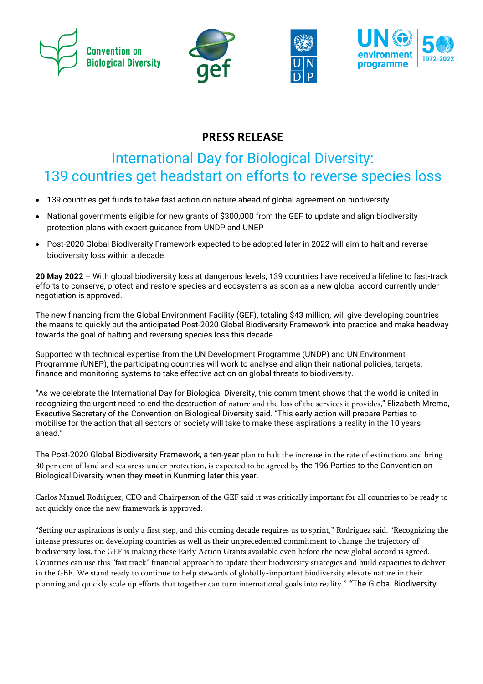







# **PRESS RELEASE**

# International Day for Biological Diversity: 139 countries get headstart on efforts to reverse species loss

- 139 countries get funds to take fast action on nature ahead of global agreement on biodiversity
- National governments eligible for new grants of \$300,000 from the GEF to update and align biodiversity protection plans with expert guidance from UNDP and UNEP
- Post-2020 Global Biodiversity Framework expected to be adopted later in 2022 will aim to halt and reverse biodiversity loss within a decade

**20 May 2022** – With global biodiversity loss at dangerous levels, 139 countries have received a lifeline to fast-track efforts to conserve, protect and restore species and ecosystems as soon as a new global accord currently under negotiation is approved.

The new financing from the Global Environment Facility (GEF), totaling \$43 million, will give developing countries the means to quickly put the anticipated Post-2020 Global Biodiversity Framework into practice and make headway towards the goal of halting and reversing species loss this decade.

Supported with technical expertise from the UN Development Programme (UNDP) and UN Environment Programme (UNEP), the participating countries will work to analyse and align their national policies, targets, finance and monitoring systems to take effective action on global threats to biodiversity.

"As we celebrate the International Day for Biological Diversity, this commitment shows that the world is united in recognizing the urgent need to end the destruction of nature and the loss of the services it provides," Elizabeth Mrema, Executive Secretary of the Convention on Biological Diversity said. "This early action will prepare Parties to mobilise for the action that all sectors of society will take to make these aspirations a reality in the 10 years ahead."

The Post-2020 Global Biodiversity Framework, a ten-year plan to halt the increase in the rate of extinctions and bring 30 per cent of land and sea areas under protection, is expected to be agreed by the 196 Parties to the Convention on Biological Diversity when they meet in Kunming later this year.

Carlos Manuel Rodriguez, CEO and Chairperson of the GEF said it was critically important for all countries to be ready to act quickly once the new framework is approved.

"Setting our aspirations is only a first step, and this coming decade requires us to sprint," Rodriguez said. "Recognizing the intense pressures on developing countries as well as their unprecedented commitment to change the trajectory of biodiversity loss, the GEF is making these Early Action Grants available even before the new global accord is agreed. Countries can use this "fast track" financial approach to update their biodiversity strategies and build capacities to deliver in the GBF. We stand ready to continue to help stewards of globally-important biodiversity elevate nature in their planning and quickly scale up efforts that together can turn international goals into reality." "The Global Biodiversity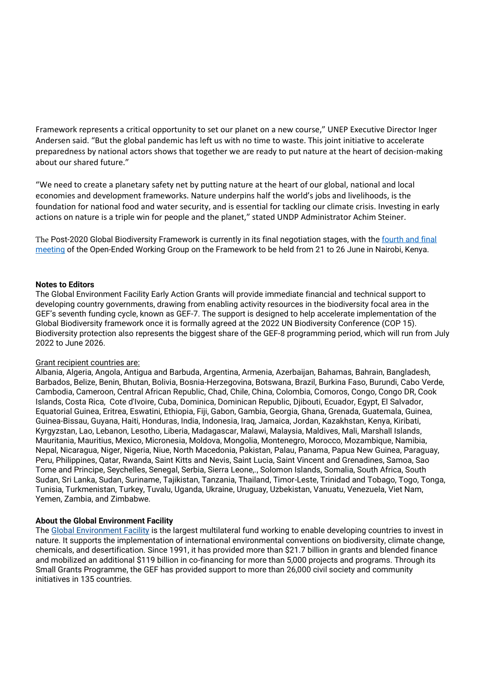Framework represents a critical opportunity to set our planet on a new course," UNEP Executive Director Inger Andersen said. "But the global pandemic has left us with no time to waste. This joint initiative to accelerate preparedness by national actors shows that together we are ready to put nature at the heart of decision-making about our shared future."

"We need to create a planetary safety net by putting nature at the heart of our global, national and local economies and development frameworks. Nature underpins half the world's jobs and livelihoods, is the foundation for national food and water security, and is essential for tackling our climate crisis. Investing in early actions on nature is a triple win for people and the planet," stated UNDP Administrator Achim Steiner.

The Post-2020 Global Biodiversity Framework is currently in its final negotiation stages, with the fourth [and final](https://www.cbd.int/article/notification2022-024) [meeting](https://www.cbd.int/article/notification2022-024) of the Open-Ended Working Group on the Framework to be held from 21 to 26 June in Nairobi, Kenya.

#### **Notes to Editors**

The Global Environment Facility Early Action Grants will provide immediate financial and technical support to developing country governments, drawing from enabling activity resources in the biodiversity focal area in the GEF's seventh funding cycle, known as GEF-7. The support is designed to help accelerate implementation of the Global Biodiversity framework once it is formally agreed at the 2022 UN Biodiversity Conference (COP 15). Biodiversity protection also represents the biggest share of the GEF-8 programming period, which will run from July 2022 to June 2026.

#### Grant recipient countries are:

Albania, Algeria, Angola, Antigua and Barbuda, Argentina, Armenia, Azerbaijan, Bahamas, Bahrain, Bangladesh, Barbados, Belize, Benin, Bhutan, Bolivia, Bosnia-Herzegovina, Botswana, Brazil, Burkina Faso, Burundi, Cabo Verde, Cambodia, Cameroon, Central African Republic, Chad, Chile, China, Colombia, Comoros, Congo, Congo DR, Cook Islands, Costa Rica, Cote d'Ivoire, Cuba, Dominica, Dominican Republic, Djibouti, Ecuador, Egypt, El Salvador, Equatorial Guinea, Eritrea, Eswatini, Ethiopia, Fiji, Gabon, Gambia, Georgia, Ghana, Grenada, Guatemala, Guinea, Guinea-Bissau, Guyana, Haiti, Honduras, India, Indonesia, Iraq, Jamaica, Jordan, Kazakhstan, Kenya, Kiribati, Kyrgyzstan, Lao, Lebanon, Lesotho, Liberia, Madagascar, Malawi, Malaysia, Maldives, Mali, Marshall Islands, Mauritania, Mauritius, Mexico, Micronesia, Moldova, Mongolia, Montenegro, Morocco, Mozambique, Namibia, Nepal, Nicaragua, Niger, Nigeria, Niue, North Macedonia, Pakistan, Palau, Panama, Papua New Guinea, Paraguay, Peru, Philippines, Qatar, Rwanda, Saint Kitts and Nevis, Saint Lucia, Saint Vincent and Grenadines, Samoa, Sao Tome and Principe, Seychelles, Senegal, Serbia, Sierra Leone,., Solomon Islands, Somalia, South Africa, South Sudan, Sri Lanka, Sudan, Suriname, Tajikistan, Tanzania, Thailand, Timor-Leste, Trinidad and Tobago, Togo, Tonga, Tunisia, Turkmenistan, Turkey, Tuvalu, Uganda, Ukraine, Uruguay, Uzbekistan, Vanuatu, Venezuela, Viet Nam, Yemen, Zambia, and Zimbabwe.

#### **About the Global Environment Facility**

The [Global Environment Facility](https://nam11.safelinks.protection.outlook.com/?url=https%3A%2F%2Fwww.thegef.org%2Fwhat-we-do&data=04%7C01%7Clmacinnis%40thegef.org%7C36ba8b46d9024931fef508da01c3d6c7%7C31a2fec0266b4c67b56e2796d8f59c36%7C0%7C0%7C637824237895616936%7CUnknown%7CTWFpbGZsb3d8eyJWIjoiMC4wLjAwMDAiLCJQIjoiV2luMzIiLCJBTiI6Ik1haWwiLCJXVCI6Mn0%3D%7C3000&sdata=4O1f04hYB1%2FXLITXpbXPh%2Fc2D5pXolAEIFATMs7rp6w%3D&reserved=0) is the largest multilateral fund working to enable developing countries to invest in nature. It supports the implementation of international environmental conventions on biodiversity, climate change, chemicals, and desertification. Since 1991, it has provided more than \$21.7 billion in grants and blended finance and mobilized an additional \$119 billion in co-financing for more than 5,000 projects and programs. Through its Small Grants Programme, the GEF has provided support to more than 26,000 civil society and community initiatives in 135 countries.